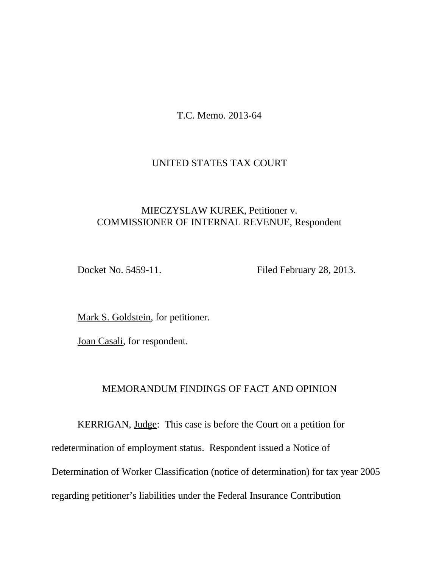T.C. Memo. 2013-64

# UNITED STATES TAX COURT

# MIECZYSLAW KUREK, Petitioner v. COMMISSIONER OF INTERNAL REVENUE, Respondent

Docket No. 5459-11. Filed February 28, 2013.

Mark S. Goldstein, for petitioner.

Joan Casali, for respondent.

### MEMORANDUM FINDINGS OF FACT AND OPINION

KERRIGAN, Judge: This case is before the Court on a petition for redetermination of employment status. Respondent issued a Notice of Determination of Worker Classification (notice of determination) for tax year 2005 regarding petitioner's liabilities under the Federal Insurance Contribution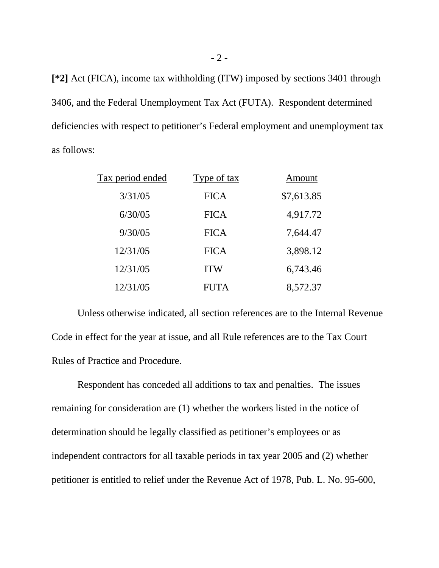**[\*2]** Act (FICA), income tax withholding (ITW) imposed by sections 3401 through 3406, and the Federal Unemployment Tax Act (FUTA). Respondent determined deficiencies with respect to petitioner's Federal employment and unemployment tax as follows:

| Tax period ended | Type of tax | Amount     |
|------------------|-------------|------------|
| 3/31/05          | <b>FICA</b> | \$7,613.85 |
| 6/30/05          | <b>FICA</b> | 4,917.72   |
| 9/30/05          | <b>FICA</b> | 7,644.47   |
| 12/31/05         | <b>FICA</b> | 3,898.12   |
| 12/31/05         | <b>ITW</b>  | 6,743.46   |
| 12/31/05         | <b>FUTA</b> | 8,572.37   |

Unless otherwise indicated, all section references are to the Internal Revenue Code in effect for the year at issue, and all Rule references are to the Tax Court Rules of Practice and Procedure.

Respondent has conceded all additions to tax and penalties. The issues remaining for consideration are (1) whether the workers listed in the notice of determination should be legally classified as petitioner's employees or as independent contractors for all taxable periods in tax year 2005 and (2) whether petitioner is entitled to relief under the Revenue Act of 1978, Pub. L. No. 95-600,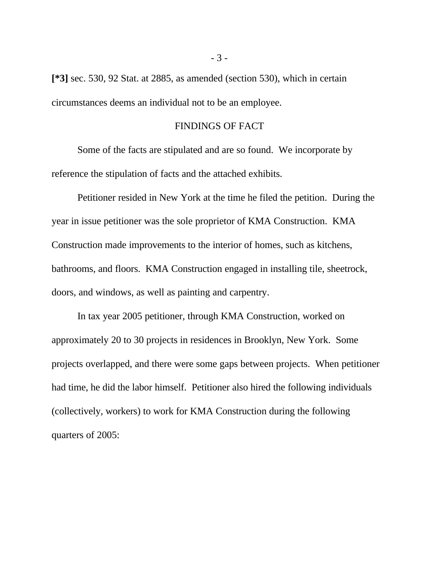**[\*3]** sec. 530, 92 Stat. at 2885, as amended (section 530), which in certain circumstances deems an individual not to be an employee.

#### FINDINGS OF FACT

Some of the facts are stipulated and are so found. We incorporate by reference the stipulation of facts and the attached exhibits.

Petitioner resided in New York at the time he filed the petition. During the year in issue petitioner was the sole proprietor of KMA Construction. KMA Construction made improvements to the interior of homes, such as kitchens, bathrooms, and floors. KMA Construction engaged in installing tile, sheetrock, doors, and windows, as well as painting and carpentry.

In tax year 2005 petitioner, through KMA Construction, worked on approximately 20 to 30 projects in residences in Brooklyn, New York. Some projects overlapped, and there were some gaps between projects. When petitioner had time, he did the labor himself. Petitioner also hired the following individuals (collectively, workers) to work for KMA Construction during the following quarters of 2005: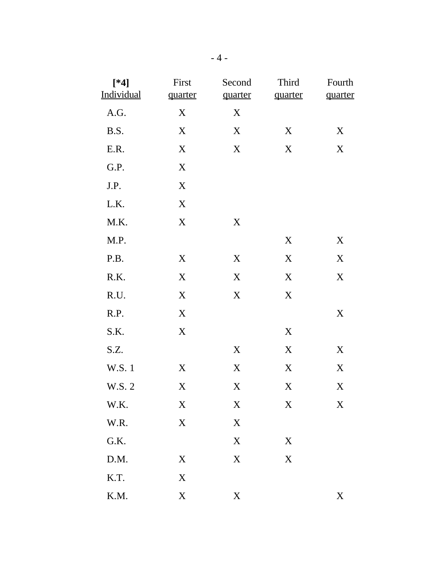| $[*4]$<br>Individual | First<br>quarter | Second<br>quarter | Third<br>quarter | Fourth<br>quarter |
|----------------------|------------------|-------------------|------------------|-------------------|
| A.G.                 | X                | X                 |                  |                   |
| B.S.                 | $\mathbf X$      | $\mathbf X$       | $\boldsymbol{X}$ | X                 |
| E.R.                 | X                | $\mathbf X$       | $\mathbf X$      | X                 |
| G.P.                 | $\boldsymbol{X}$ |                   |                  |                   |
| J.P.                 | $\mathbf X$      |                   |                  |                   |
| L.K.                 | $\mathbf X$      |                   |                  |                   |
| M.K.                 | $\mathbf X$      | $\mathbf X$       |                  |                   |
| M.P.                 |                  |                   | $\mathbf X$      | X                 |
| P.B.                 | X                | X                 | $\mathbf X$      | X                 |
| R.K.                 | $\mathbf X$      | $\mathbf X$       | $\mathbf X$      | X                 |
| R.U.                 | X                | $\mathbf X$       | $\mathbf X$      |                   |
| R.P.                 | $\boldsymbol{X}$ |                   |                  | X                 |
| S.K.                 | $\mathbf X$      |                   | $\boldsymbol{X}$ |                   |
| S.Z.                 |                  | $\mathbf X$       | $\mathbf X$      | X                 |
| W.S. 1               | X                | $\mathbf X$       | $\mathbf X$      | X                 |
| W.S. 2               | X                | $\mathbf X$       | $\mathbf X$      | X                 |
| W.K.                 | X                | X                 | X                | X                 |
| W.R.                 | $\mathbf X$      | $\mathbf X$       |                  |                   |
| G.K.                 |                  | $\mathbf X$       | $\boldsymbol{X}$ |                   |
| D.M.                 | X                | $\mathbf X$       | $\mathbf X$      |                   |
| K.T.                 | X                |                   |                  |                   |
| K.M.                 | $\mathbf X$      | $\mathbf X$       |                  | X                 |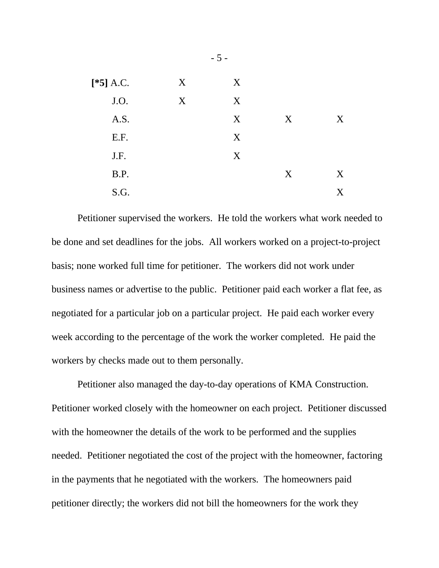| $[*5] A.C.$ | X | X |   |   |
|-------------|---|---|---|---|
| J.O.        | X | X |   |   |
| A.S.        |   | X | X | X |
| E.F.        |   | X |   |   |
| J.F.        |   | X |   |   |
| B.P.        |   |   | X | X |
| S.G.        |   |   |   | X |

Petitioner supervised the workers. He told the workers what work needed to be done and set deadlines for the jobs. All workers worked on a project-to-project basis; none worked full time for petitioner. The workers did not work under business names or advertise to the public. Petitioner paid each worker a flat fee, as negotiated for a particular job on a particular project. He paid each worker every week according to the percentage of the work the worker completed. He paid the workers by checks made out to them personally.

Petitioner also managed the day-to-day operations of KMA Construction. Petitioner worked closely with the homeowner on each project. Petitioner discussed with the homeowner the details of the work to be performed and the supplies needed. Petitioner negotiated the cost of the project with the homeowner, factoring in the payments that he negotiated with the workers. The homeowners paid petitioner directly; the workers did not bill the homeowners for the work they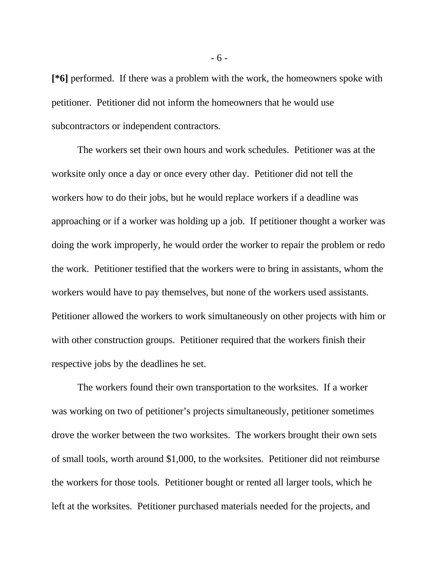**[\*6]** performed. If there was a problem with the work, the homeowners spoke with petitioner. Petitioner did not inform the homeowners that he would use subcontractors or independent contractors.

The workers set their own hours and work schedules. Petitioner was at the worksite only once a day or once every other day. Petitioner did not tell the workers how to do their jobs, but he would replace workers if a deadline was approaching or if a worker was holding up a job. If petitioner thought a worker was doing the work improperly, he would order the worker to repair the problem or redo the work. Petitioner testified that the workers were to bring in assistants, whom the workers would have to pay themselves, but none of the workers used assistants. Petitioner allowed the workers to work simultaneously on other projects with him or with other construction groups. Petitioner required that the workers finish their respective jobs by the deadlines he set.

The workers found their own transportation to the worksites. If a worker was working on two of petitioner's projects simultaneously, petitioner sometimes drove the worker between the two worksites. The workers brought their own sets of small tools, worth around \$1,000, to the worksites. Petitioner did not reimburse the workers for those tools. Petitioner bought or rented all larger tools, which he left at the worksites. Petitioner purchased materials needed for the projects, and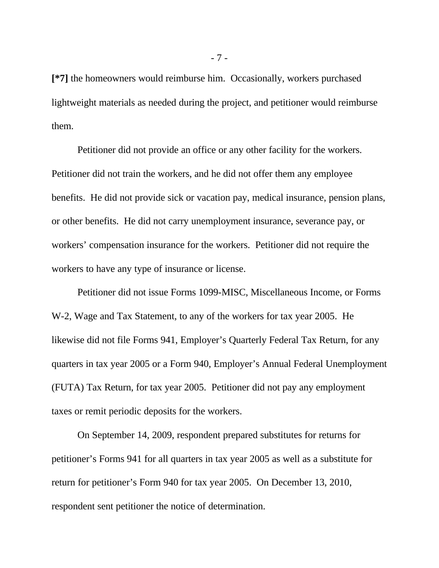**[\*7]** the homeowners would reimburse him. Occasionally, workers purchased lightweight materials as needed during the project, and petitioner would reimburse them.

Petitioner did not provide an office or any other facility for the workers. Petitioner did not train the workers, and he did not offer them any employee benefits. He did not provide sick or vacation pay, medical insurance, pension plans, or other benefits. He did not carry unemployment insurance, severance pay, or workers' compensation insurance for the workers. Petitioner did not require the workers to have any type of insurance or license.

Petitioner did not issue Forms 1099-MISC, Miscellaneous Income, or Forms W-2, Wage and Tax Statement, to any of the workers for tax year 2005. He likewise did not file Forms 941, Employer's Quarterly Federal Tax Return, for any quarters in tax year 2005 or a Form 940, Employer's Annual Federal Unemployment (FUTA) Tax Return, for tax year 2005. Petitioner did not pay any employment taxes or remit periodic deposits for the workers.

On September 14, 2009, respondent prepared substitutes for returns for petitioner's Forms 941 for all quarters in tax year 2005 as well as a substitute for return for petitioner's Form 940 for tax year 2005. On December 13, 2010, respondent sent petitioner the notice of determination.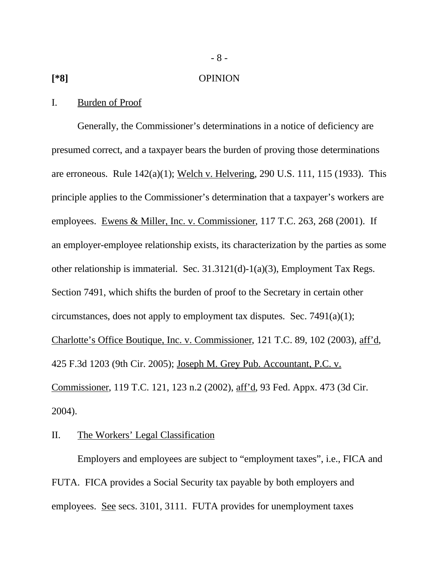#### **[\*8]** OPINION

- 8 -

#### I. Burden of Proof

Generally, the Commissioner's determinations in a notice of deficiency are presumed correct, and a taxpayer bears the burden of proving those determinations are erroneous. Rule 142(a)(1); Welch v. Helvering, 290 U.S. 111, 115 (1933). This principle applies to the Commissioner's determination that a taxpayer's workers are employees. Ewens & Miller, Inc. v. Commissioner, 117 T.C. 263, 268 (2001). If an employer-employee relationship exists, its characterization by the parties as some other relationship is immaterial. Sec. 31.3121(d)-1(a)(3), Employment Tax Regs. Section 7491, which shifts the burden of proof to the Secretary in certain other circumstances, does not apply to employment tax disputes. Sec. 7491(a)(1); Charlotte's Office Boutique, Inc. v. Commissioner, 121 T.C. 89, 102 (2003), aff'd, 425 F.3d 1203 (9th Cir. 2005); Joseph M. Grey Pub. Accountant, P.C. v. Commissioner, 119 T.C. 121, 123 n.2 (2002), aff'd, 93 Fed. Appx. 473 (3d Cir. 2004).

### II. The Workers' Legal Classification

Employers and employees are subject to "employment taxes", i.e., FICA and FUTA. FICA provides a Social Security tax payable by both employers and employees. See secs. 3101, 3111. FUTA provides for unemployment taxes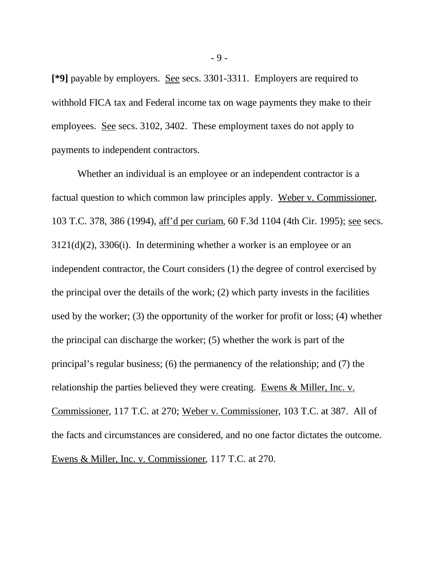**[\*9]** payable by employers. See secs. 3301-3311. Employers are required to withhold FICA tax and Federal income tax on wage payments they make to their employees. See secs. 3102, 3402. These employment taxes do not apply to payments to independent contractors.

Whether an individual is an employee or an independent contractor is a factual question to which common law principles apply. Weber v. Commissioner, 103 T.C. 378, 386 (1994), aff'd per curiam, 60 F.3d 1104 (4th Cir. 1995); see secs. 3121(d)(2), 3306(i). In determining whether a worker is an employee or an independent contractor, the Court considers (1) the degree of control exercised by the principal over the details of the work; (2) which party invests in the facilities used by the worker; (3) the opportunity of the worker for profit or loss; (4) whether the principal can discharge the worker; (5) whether the work is part of the principal's regular business; (6) the permanency of the relationship; and (7) the relationship the parties believed they were creating. Ewens & Miller, Inc. v. Commissioner, 117 T.C. at 270; Weber v. Commissioner, 103 T.C. at 387. All of the facts and circumstances are considered, and no one factor dictates the outcome. Ewens & Miller, Inc. v. Commissioner, 117 T.C. at 270.

- 9 -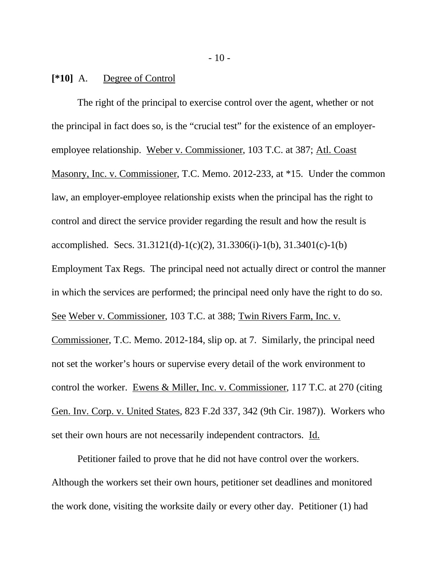**[\*10]** A. Degree of Control

The right of the principal to exercise control over the agent, whether or not the principal in fact does so, is the "crucial test" for the existence of an employeremployee relationship. Weber v. Commissioner, 103 T.C. at 387; Atl. Coast Masonry, Inc. v. Commissioner, T.C. Memo. 2012-233, at \*15. Under the common law, an employer-employee relationship exists when the principal has the right to control and direct the service provider regarding the result and how the result is accomplished. Secs. 31.3121(d)-1(c)(2), 31.3306(i)-1(b), 31.3401(c)-1(b) Employment Tax Regs. The principal need not actually direct or control the manner in which the services are performed; the principal need only have the right to do so. See Weber v. Commissioner, 103 T.C. at 388; Twin Rivers Farm, Inc. v. Commissioner, T.C. Memo. 2012-184, slip op. at 7. Similarly, the principal need not set the worker's hours or supervise every detail of the work environment to control the worker. Ewens & Miller, Inc. v. Commissioner, 117 T.C. at 270 (citing Gen. Inv. Corp. v. United States, 823 F.2d 337, 342 (9th Cir. 1987)). Workers who set their own hours are not necessarily independent contractors. Id.

Petitioner failed to prove that he did not have control over the workers. Although the workers set their own hours, petitioner set deadlines and monitored the work done, visiting the worksite daily or every other day. Petitioner (1) had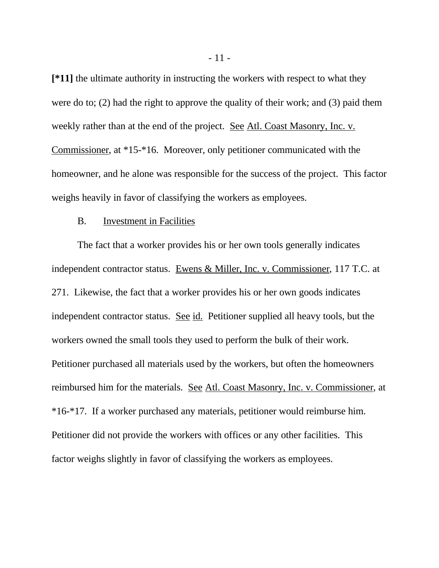**[\*11]** the ultimate authority in instructing the workers with respect to what they were do to; (2) had the right to approve the quality of their work; and (3) paid them weekly rather than at the end of the project. See Atl. Coast Masonry, Inc. v. Commissioner, at \*15-\*16. Moreover, only petitioner communicated with the homeowner, and he alone was responsible for the success of the project. This factor weighs heavily in favor of classifying the workers as employees.

#### B. Investment in Facilities

The fact that a worker provides his or her own tools generally indicates independent contractor status. Ewens & Miller, Inc. v. Commissioner, 117 T.C. at 271. Likewise, the fact that a worker provides his or her own goods indicates independent contractor status. See id. Petitioner supplied all heavy tools, but the workers owned the small tools they used to perform the bulk of their work. Petitioner purchased all materials used by the workers, but often the homeowners reimbursed him for the materials. See Atl. Coast Masonry, Inc. v. Commissioner, at \*16-\*17. If a worker purchased any materials, petitioner would reimburse him. Petitioner did not provide the workers with offices or any other facilities. This factor weighs slightly in favor of classifying the workers as employees.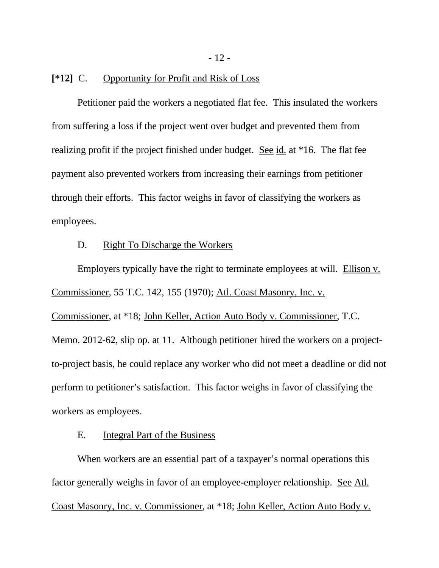- 12 -

#### **[\*12]** C. Opportunity for Profit and Risk of Loss

Petitioner paid the workers a negotiated flat fee. This insulated the workers from suffering a loss if the project went over budget and prevented them from realizing profit if the project finished under budget. See id. at \*16. The flat fee payment also prevented workers from increasing their earnings from petitioner through their efforts. This factor weighs in favor of classifying the workers as employees.

#### D. Right To Discharge the Workers

Employers typically have the right to terminate employees at will. Ellison v. Commissioner, 55 T.C. 142, 155 (1970); Atl. Coast Masonry, Inc. v.

Commissioner, at \*18; John Keller, Action Auto Body v. Commissioner, T.C. Memo. 2012-62, slip op. at 11. Although petitioner hired the workers on a projectto-project basis, he could replace any worker who did not meet a deadline or did not perform to petitioner's satisfaction. This factor weighs in favor of classifying the workers as employees.

## E. Integral Part of the Business

When workers are an essential part of a taxpayer's normal operations this factor generally weighs in favor of an employee-employer relationship. See Atl. Coast Masonry, Inc. v. Commissioner, at \*18; John Keller, Action Auto Body v.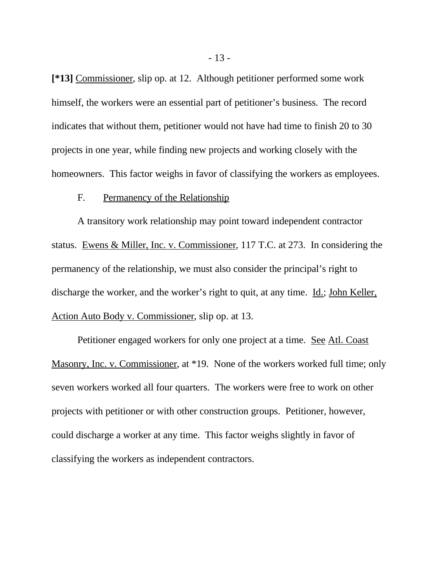**[\*13]** Commissioner, slip op. at 12. Although petitioner performed some work himself, the workers were an essential part of petitioner's business. The record indicates that without them, petitioner would not have had time to finish 20 to 30 projects in one year, while finding new projects and working closely with the homeowners. This factor weighs in favor of classifying the workers as employees.

### F. Permanency of the Relationship

A transitory work relationship may point toward independent contractor status. Ewens & Miller, Inc. v. Commissioner, 117 T.C. at 273. In considering the permanency of the relationship, we must also consider the principal's right to discharge the worker, and the worker's right to quit, at any time. Id.; John Keller, Action Auto Body v. Commissioner, slip op. at 13.

Petitioner engaged workers for only one project at a time. See Atl. Coast Masonry, Inc. v. Commissioner, at \*19. None of the workers worked full time; only seven workers worked all four quarters. The workers were free to work on other projects with petitioner or with other construction groups. Petitioner, however, could discharge a worker at any time. This factor weighs slightly in favor of classifying the workers as independent contractors.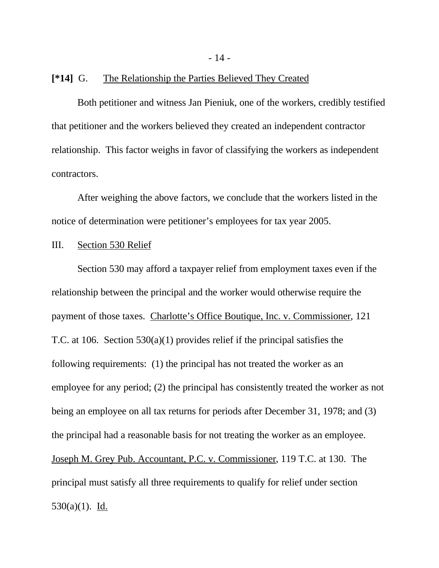- 14 -

### **[\*14]** G. The Relationship the Parties Believed They Created

Both petitioner and witness Jan Pieniuk, one of the workers, credibly testified that petitioner and the workers believed they created an independent contractor relationship. This factor weighs in favor of classifying the workers as independent contractors.

After weighing the above factors, we conclude that the workers listed in the notice of determination were petitioner's employees for tax year 2005.

### III. Section 530 Relief

Section 530 may afford a taxpayer relief from employment taxes even if the relationship between the principal and the worker would otherwise require the payment of those taxes. Charlotte's Office Boutique, Inc. v. Commissioner, 121 T.C. at 106. Section 530(a)(1) provides relief if the principal satisfies the following requirements: (1) the principal has not treated the worker as an employee for any period; (2) the principal has consistently treated the worker as not being an employee on all tax returns for periods after December 31, 1978; and (3) the principal had a reasonable basis for not treating the worker as an employee. Joseph M. Grey Pub. Accountant, P.C. v. Commissioner, 119 T.C. at 130. The principal must satisfy all three requirements to qualify for relief under section 530(a)(1). Id.